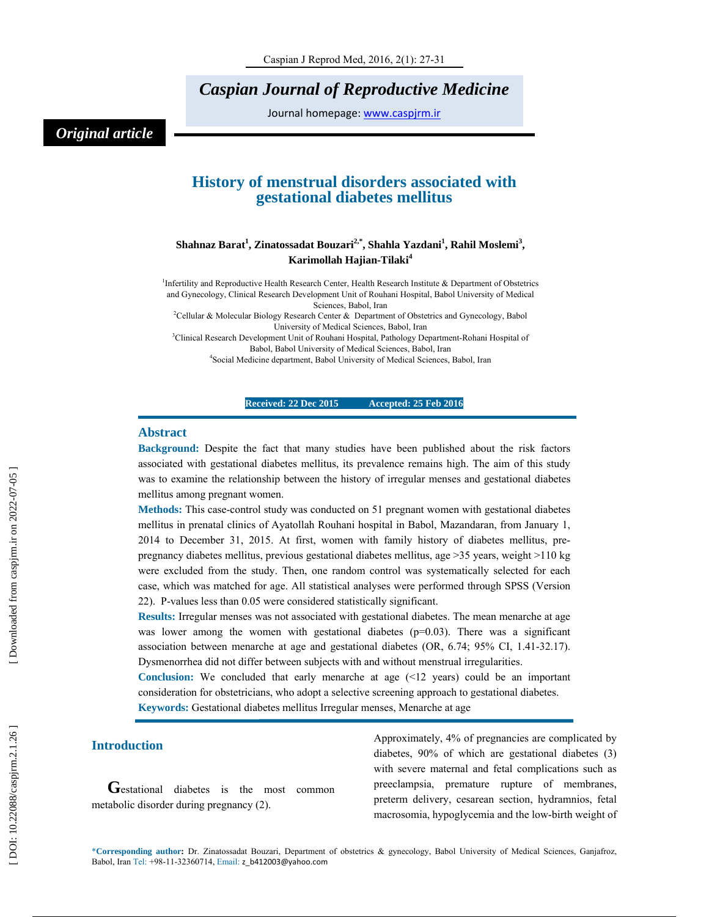# *Caspian Journal of Reproductive Medicine*

Journal homepage: www.caspjrm.ir

# *Original article*

## **History of menstrual disorders associated with gestational diabetes mellitus**

## $\boldsymbol{\mathrm{Shahnaz\ Barat}}^1$ , Zinatossadat Bouzari $^{2, *}$ , Shahla Yazdani $^1$ , Rahil Moslemi $^3$ , **Karimollah Hajian-Tilaki 4**

<sup>1</sup>Infertility and Reproductive Health Research Center, Health Research Institute & Department of Obstetrics and Gynecology, Clinical Research Development Unit of Rouhani Hospital, Babol University of Medical Sciences, Babol, Iran

2 Cellular & Molecular Biology Research Center & Department of Obstetrics and Gynecology, Babol University of Medical Sciences, Babol, Iran

<sup>3</sup>Clinical Research Development Unit of Rouhani Hospital, Pathology Department-Rohani Hospital of Babol, Babol University of Medical Sciences, Babol, Iran

4 Social Medicine department, Babol University of Medical Sciences, Babol, Iran

#### **Received: 22 Dec 2015 Accepted: 25 Feb 2016**

#### **Abstract**

**Background:** Despite the fact that many studies have been published about the risk factors associated with gestational diabetes mellitus, its prevalence remains high. The aim of this study was to examine the relationship between the history of irregular menses and gestational diabetes mellitus among pregnant women.

**Methods:** This case-control study was conducted on 51 pregnant women with gestational diabetes mellitus in prenatal clinics of Ayatollah Rouhani hospital in Babol, Mazandaran, from January 1, 2014 to December 31, 2015. At first, women with family history of diabetes mellitus, prepregnancy diabetes mellitus, previous gestational diabetes mellitus, age >35 years, weight >110 kg were excluded from the study. Then, one random control was systematically selected for each case, which was matched for age. All statistical analyses were performed through SPSS (Version 22). P-values less than 0.05 were considered statistically significant.

**Results:** Irregular menses was not associated with gestational diabetes. The mean menarche at age was lower among the women with gestational diabetes  $(p=0.03)$ . There was a significant association between menarche at age and gestational diabetes (OR, 6.74; 95% CI, 1.41-32.17). Dysmenorrhea did not differ between subjects with and without menstrual irregularities.

**Conclusion:** We concluded that early menarche at age (<12 years) could be an important consideration for obstetricians, who adopt a selective screening approach to gestational diabetes. **Keywords:** Gestational diabetes mellitus Irregular menses, Menarche at age

**Introduction**<br> **G**estational diabetes is the most common metabolic disorder during pregnancy (2).

Approximately, 4% of pregnancies are complicated by diabetes, 90% of which are gestational diabetes (3) with severe maternal and fetal complications such as preeclampsia, premature rupture of membranes, preterm delivery, cesarean section, hydramnios, fetal macrosomia, hypoglycemia and the low-birth weight of

\***Corresponding author :** Dr. Zinatossadat Bouzari, Department of obstetrics & gynecology, Babol University of Medical Sciences, Ganjafroz, Babol, Iran Tel: +98-11-32360714, Email: z\_b412003@yahoo.com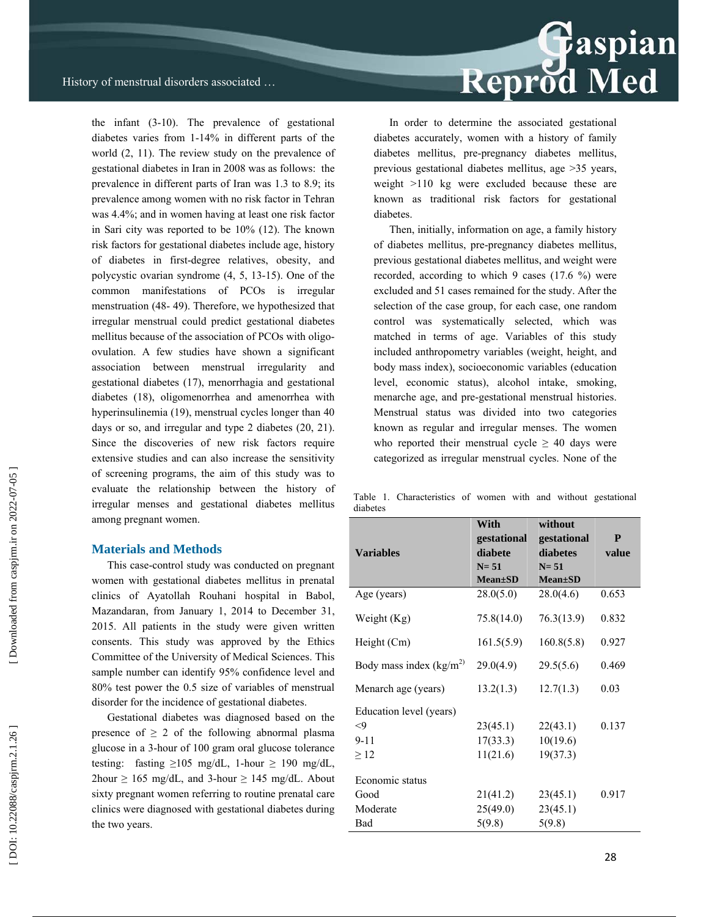Reprod Med

the infant (3-10). The prevalence of gestational diabetes varies from 1-14% in different parts of the world (2, 11). The review study on the prevalence of gestational diabetes in Iran in 2008 was as follows: the prevalence in different parts of Iran was 1.3 to 8.9; its prevalence among women with no risk factor in Tehran was 4.4%; and in women having at least one risk factor in Sari city was reported to be 10% (12). The known risk factors for gestational diabetes include age, history of diabetes in first-degree relatives, obesity, and polycystic ovarian syndrome (4, 5, 13-15). One of the common manifestations of PCOs is irregular menstruation (48- 49). Therefore, we hypothesized that irregular menstrual could predict gestational diabetes mellitus because of the association of PCOs with oligoovulation. A few studies have shown a significant association between menstrual irregularity and gestational diabetes (17), menorrhagia and gestational diabetes (18), oligomenorrhea and amenorrhea with hyperinsulinemia (19), menstrual cycles longer than 40 days or so, and irregular and type 2 diabetes (20, 21). Since the discoveries of new risk factors require extensive studies and can also increase the sensitivity of screening programs, the aim of this study was to evaluate the relationship between the history of irregular menses and gestational diabetes mellitus among pregnant women.

#### **Materials and Methods**

This case-control study was conducted on pregnant women with gestational diabetes mellitus in prenatal clinics of Ayatollah Rouhani hospital in Babol, Mazandaran, from January 1, 2014 to December 31, 2015. All patients in the study were given written consents. This study was approved by the Ethics Committee of the University of Medical Sciences. This sample number can identify 95% confidence level and 80% test power the 0.5 size of variables of menstrual disorder for the incidence of gestational diabetes.

Gestational diabetes was diagnosed based on the presence of  $\geq 2$  of the following abnormal plasma glucose in a 3-hour of 100 gram oral glucose tolerance testing: fasting  $\geq 105$  mg/dL, 1-hour  $\geq 190$  mg/dL,  $2$ hour  $\geq 165$  mg/dL, and 3-hour  $\geq 145$  mg/dL. About sixty pregnant women referring to routine prenatal care clinics were diagnosed with gestational diabetes during the two years.

In order to determine the associated gestational diabetes accurately, women with a history of family diabetes mellitus, pre-pregnancy diabetes mellitus, previous gestational diabetes mellitus, age >35 years, weight >110 kg were excluded because these are known as traditional risk factors for gestational diabetes.

Then, initially, information on age, a family history of diabetes mellitus, pre-pregnancy diabetes mellitus, previous gestational diabetes mellitus, and weight were recorded, according to which 9 cases (17.6 %) were excluded and 51 cases remained for the study. After the selection of the case group, for each case, one random control was systematically selected, which was matched in terms of age. Variables of this study included anthropometry variables (weight, height, and body mass index), socioeconomic variables (education level, economic status), alcohol intake, smoking, menarche age, and pre-gestational menstrual histories. Menstrual status was divided into two categories known as regular and irregular menses. The women who reported their menstrual cycle  $\geq$  40 days were categorized as irregular menstrual cycles. None of the

Table 1. Characteristics of women with and without gestational diabetes

| <b>Variables</b>          | With<br>gestational<br>diabete | without<br>gestational<br>diabetes | P<br>value |
|---------------------------|--------------------------------|------------------------------------|------------|
|                           | $N = 51$                       | $N = 51$                           |            |
|                           | $Mean \pm SD$                  | $Mean \pm SD$                      |            |
| Age (years)               | 28.0(5.0)                      | 28.0(4.6)                          | 0.653      |
| Weight (Kg)               | 75.8(14.0)                     | 76.3(13.9)                         | 0.832      |
| Height (Cm)               | 161.5(5.9)                     | 160.8(5.8)                         | 0.927      |
| Body mass index $(kg/m2)$ | 29.0(4.9)                      | 29.5(5.6)                          | 0.469      |
| Menarch age (years)       | 13.2(1.3)                      | 12.7(1.3)                          | 0.03       |
| Education level (years)   |                                |                                    |            |
| $<$ 9                     | 23(45.1)                       | 22(43.1)                           | 0.137      |
| $9 - 11$                  | 17(33.3)                       | 10(19.6)                           |            |
| $\geq$ 12                 | 11(21.6)                       | 19(37.3)                           |            |
| Economic status           |                                |                                    |            |
| Good                      | 21(41.2)                       | 23(45.1)                           | 0.917      |
| Moderate                  | 25(49.0)                       | 23(45.1)                           |            |
| Bad                       | 5(9.8)                         | 5(9.8)                             |            |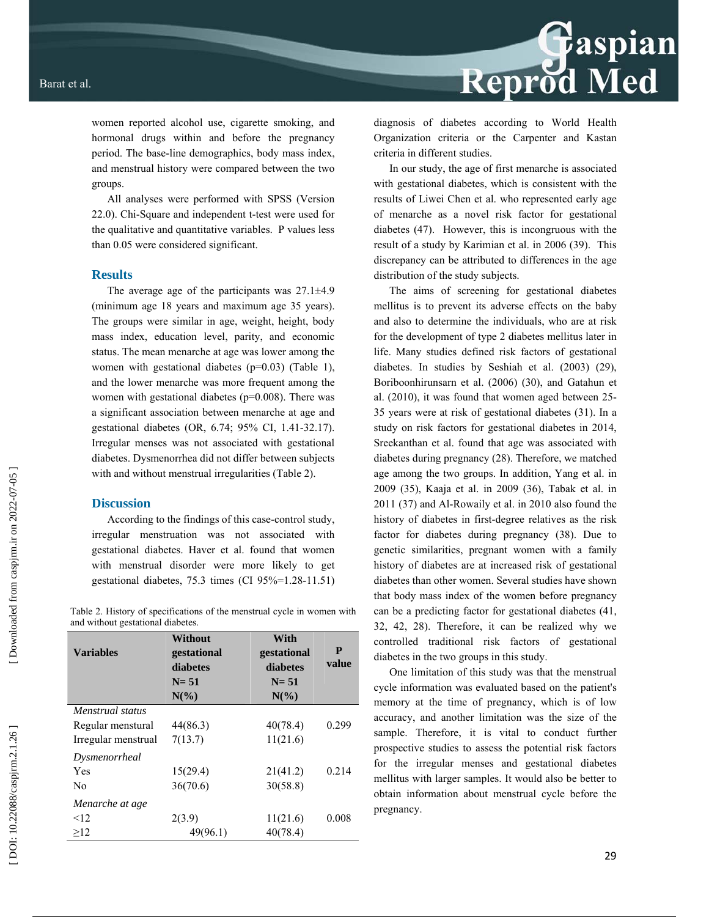women reported alcohol use, cigarette smoking, and hormonal drugs within and before the pregnancy period. The base-line demographics, body mass index, and menstrual history were compared between the two groups.

All analyses were performed with SPSS (Version 22.0). Chi-Square and independent t-test were used for the qualitative and quantitative variables. P values less than 0.05 were considered significant.

#### **Results**

The average age of the participants was  $27.1 \pm 4.9$ (minimum age 18 years and maximum age 35 years). The groups were similar in age, weight, height, body mass index, education level, parity, and economic status. The mean menarche at age was lower among the women with gestational diabetes (p=0.03) (Table 1), and the lower menarche was more frequent among the women with gestational diabetes (p=0.008). There was a significant association between menarche at age and gestational diabetes (OR, 6.74; 95% CI, 1.41-32.17). Irregular menses was not associated with gestational diabetes. Dysmenorrhea did not differ between subjects with and without menstrual irregularities (Table 2).

#### **Discussion**

According to the findings of this case-control study, irregular menstruation was not associated with gestational diabetes. Haver et al. found that women with menstrual disorder were more likely to get gestational diabetes, 75.3 times (CI 95%=1.28-11.51)

Table 2. History of specifications of the menstrual cycle in women with and without gestational diabetes.

| <b>Variables</b>    | Without<br>gestational<br>diabetes | With<br>gestational<br>diabetes | P<br>value |
|---------------------|------------------------------------|---------------------------------|------------|
|                     | $N = 51$                           | $N = 51$                        |            |
|                     | $N\left(\frac{9}{6}\right)$        | $N(\%)$                         |            |
| Menstrual status    |                                    |                                 |            |
| Regular menstural   | 44(86.3)                           | 40(78.4)                        | 0.299      |
| Irregular menstrual | 7(13.7)                            | 11(21.6)                        |            |
| Dysmenorrheal       |                                    |                                 |            |
| Yes                 | 15(29.4)                           | 21(41.2)                        | 0.214      |
| No                  | 36(70.6)                           | 30(58.8)                        |            |
| Menarche at age     |                                    |                                 |            |
| $<$ 12              | 2(3.9)                             | 11(21.6)                        | 0.008      |
| >12                 | 49(96.1)                           | 40(78.4)                        |            |



diagnosis of diabetes according to World Health Organization criteria or the Carpenter and Kastan criteria in different studies.

In our study, the age of first menarche is associated with gestational diabetes, which is consistent with the results of Liwei Chen et al. who represented early age of menarche as a novel risk factor for gestational diabetes (47). However, this is incongruous with the result of a study by Karimian et al. in 2006 (39). This discrepancy can be attributed to differences in the age distribution of the study subjects.

The aims of screening for gestational diabetes mellitus is to prevent its adverse effects on the baby and also to determine the individuals, who are at risk for the development of type 2 diabetes mellitus later in life. Many studies defined risk factors of gestational diabetes. In studies by Seshiah et al. (2003) (29), Boriboonhirunsarn et al. (2006) (30), and Gatahun et al. (2010), it was found that women aged between 25- 35 years were at risk of gestational diabetes (31). In a study on risk factors for gestational diabetes in 2014, Sreekanthan et al. found that age was associated with diabetes during pregnancy (28). Therefore, we matched age among the two groups. In addition, Yang et al. in 2009 (35), Kaaja et al. in 2009 (36), Tabak et al. in 2011 (37) and Al-Rowaily et al. in 2010 also found the history of diabetes in first-degree relatives as the risk factor for diabetes during pregnancy (38). Due to genetic similarities, pregnant women with a family history of diabetes are at increased risk of gestational diabetes than other women. Several studies have shown that body mass index of the women before pregnancy can be a predicting factor for gestational diabetes (41, 32, 42, 28). Therefore, it can be realized why we controlled traditional risk factors of gestational diabetes in the two groups in this study.

One limitation of this study was that the menstrual cycle information was evaluated based on the patient's memory at the time of pregnancy, which is of low accuracy, and another limitation was the size of the sample. Therefore, it is vital to conduct further prospective studies to assess the potential risk factors for the irregular menses and gestational diabetes mellitus with larger samples. It would also be better to obtain information about menstrual cycle before the pregnancy.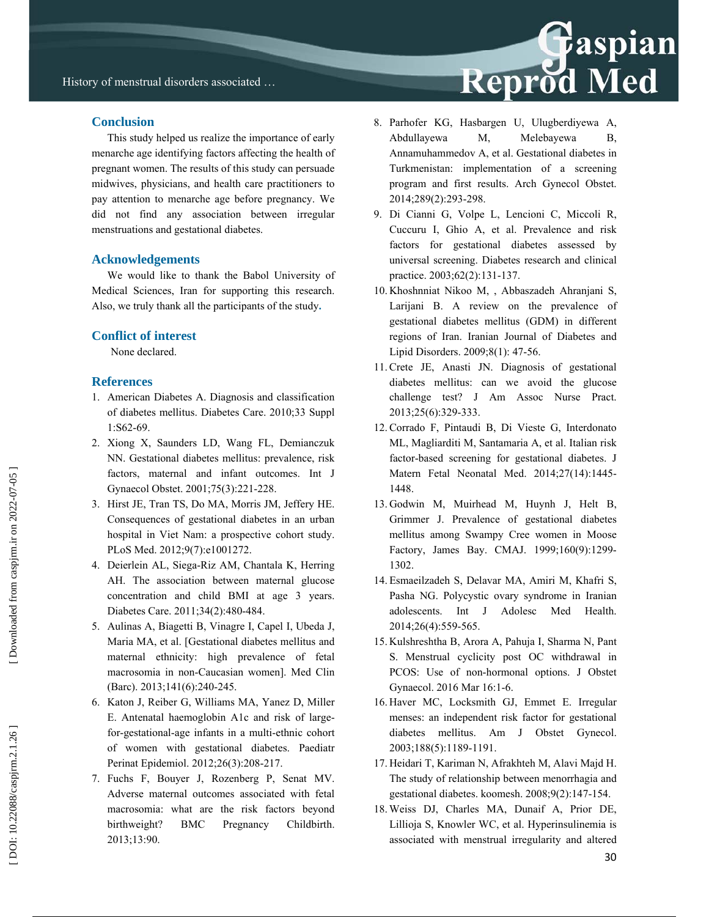### **Conclusion**

This study helped us realize the importance of early menarche age identifying factors affecting the health of pregnant women. The results of this study can persuade midwives, physicians, and health care practitioners to pay attention to menarche age before pregnancy. We did not find any association between irregular menstruations and gestational diabetes.

#### **Acknowledgements**

We would like to thank the Babol University of Medical Sciences, Iran for supporting this research. Also, we truly thank all the participants of the study**.** 

#### **Conflict of interest**

None declared.

#### **References**

- 1. American Diabetes A. Diagnosis and classification of diabetes mellitus. Diabetes Care. 2010;33 Suppl 1:S62-69.
- 2. Xiong X, Saunders LD, Wang FL, Demianczuk NN. Gestational diabetes mellitus: prevalence, risk factors, maternal and infant outcomes. Int J Gynaecol Obstet. 2001;75(3):221-228.
- 3. Hirst JE, Tran TS, Do MA, Morris JM, Jeffery HE. Consequences of gestational diabetes in an urban hospital in Viet Nam: a prospective cohort study. PLoS Med. 2012;9(7):e1001272.
- 4. Deierlein AL, Siega-Riz AM, Chantala K, Herring AH. The association between maternal glucose concentration and child BMI at age 3 years. Diabetes Care. 2011;34(2):480-484.
- 5. Aulinas A, Biagetti B, Vinagre I, Capel I, Ubeda J, Maria MA, et al. [Gestational diabetes mellitus and maternal ethnicity: high prevalence of fetal macrosomia in non-Caucasian women]. Med Clin (Barc). 2013;141(6):240-245.
- 6. Katon J, Reiber G, Williams MA, Yanez D, Miller E. Antenatal haemoglobin A1c and risk of largefor-gestational-age infants in a multi-ethnic cohort of women with gestational diabetes. Paediatr Perinat Epidemiol. 2012;26(3):208-217.
- 7. Fuchs F, Bouyer J, Rozenberg P, Senat MV. Adverse maternal outcomes associated with fetal macrosomia: what are the risk factors beyond birthweight? BMC Pregnancy Childbirth. 2013;13:90.
- 8. Parhofer KG, Hasbargen U, Ulugberdiyewa A, Abdullayewa M, Melebayewa B, Annamuhammedov A, et al. Gestational diabetes in Turkmenistan: implementation of a screening program and first results. Arch Gynecol Obstet. 2014;289(2):293-298.
- 9. Di Cianni G, Volpe L, Lencioni C, Miccoli R, Cuccuru I, Ghio A, et al. Prevalence and risk factors for gestational diabetes assessed by universal screening. Diabetes research and clinical practice. 2003;62(2):131-137.
- 10. Khoshnniat Nikoo M, , Abbaszadeh Ahranjani S, Larijani B. A review on the prevalence of gestational diabetes mellitus (GDM) in different regions of Iran. Iranian Journal of Diabetes and Lipid Disorders. 2009;8(1): 47-56.
- 11. Crete JE, Anasti JN. Diagnosis of gestational diabetes mellitus: can we avoid the glucose challenge test? J Am Assoc Nurse Pract. 2013;25(6):329-333.
- 12. Corrado F, Pintaudi B, Di Vieste G, Interdonato ML, Magliarditi M, Santamaria A, et al. Italian risk factor-based screening for gestational diabetes. J Matern Fetal Neonatal Med. 2014;27(14):1445- 1448.
- 13. Godwin M, Muirhead M, Huynh J, Helt B, Grimmer J. Prevalence of gestational diabetes mellitus among Swampy Cree women in Moose Factory, James Bay. CMAJ. 1999;160(9):1299- 1302.
- 14. Esmaeilzadeh S, Delavar MA, Amiri M, Khafri S, Pasha NG. Polycystic ovary syndrome in Iranian adolescents. Int J Adolesc Med Health. 2014;26(4):559-565.
- 15. Kulshreshtha B, Arora A, Pahuja I, Sharma N, Pant S. Menstrual cyclicity post OC withdrawal in PCOS: Use of non-hormonal options. J Obstet Gynaecol. 2016 Mar 16:1-6.
- 16. Haver MC, Locksmith GJ, Emmet E. Irregular menses: an independent risk factor for gestational diabetes mellitus. Am J Obstet Gynecol. 2003;188(5):1189-1191.
- 17. Heidari T, Kariman N, Afrakhteh M, Alavi Majd H. The study of relationship between menorrhagia and gestational diabetes. koomesh. 2008;9(2):147-154.
- 18. Weiss DJ, Charles MA, Dunaif A, Prior DE, Lillioja S, Knowler WC, et al. Hyperinsulinemia is associated with menstrual irregularity and altered